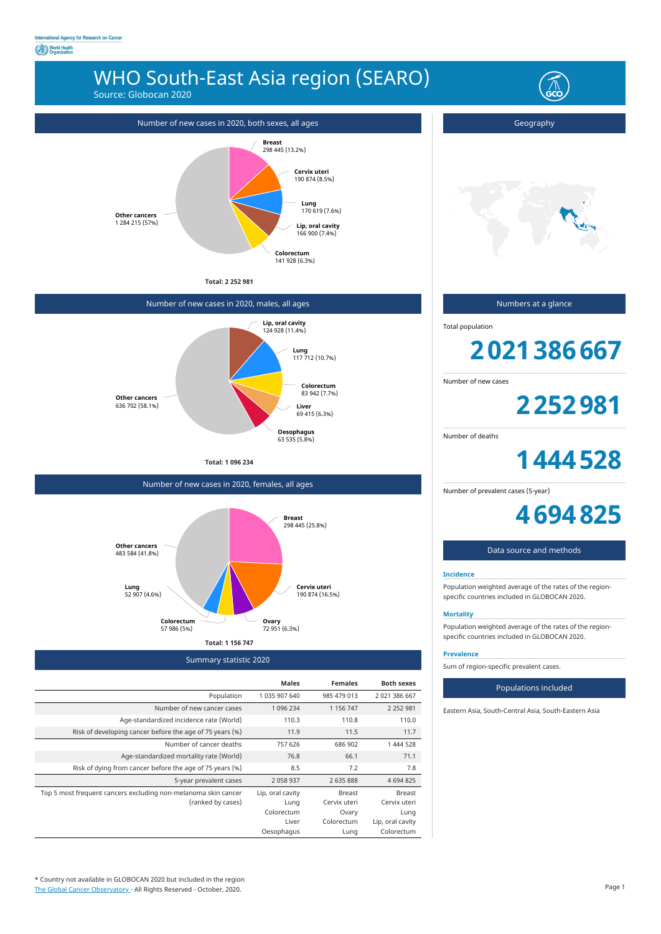## WHO South-East Asia region (SEARO)

Source: Globocan 2020

Summary statistic 2020

|                                                                | <b>Males</b>     | <b>Females</b> | <b>Both sexes</b> |
|----------------------------------------------------------------|------------------|----------------|-------------------|
| Population                                                     | 1 035 907 640    | 985 479 013    | 2 021 386 667     |
| Number of new cancer cases                                     | 1 096 234        | 1 156 747      | 2 2 5 2 9 8 1     |
| Age-standardized incidence rate (World)                        | 110.3            | 110.8          | 110.0             |
| Risk of developing cancer before the age of 75 years (%)       | 11.9             | 11.5           | 11.7              |
| Number of cancer deaths                                        | 757 626          | 686 902        | 1 444 528         |
| Age-standardized mortality rate (World)                        | 76.8             | 66.1           | 71.1              |
| Risk of dying from cancer before the age of 75 years (%)       | 8.5              | 7.2            | 7.8               |
| 5-year prevalent cases                                         | 2 0 5 8 9 3 7    | 2 635 888      | 4 694 825         |
| Top 5 most frequent cancers excluding non-melanoma skin cancer | Lip, oral cavity | <b>Breast</b>  | Breast            |
| (ranked by cases)                                              | Lung             | Cervix uteri   | Cervix uteri      |
|                                                                | Colorectum       | Ovary          | Lung              |
|                                                                | Liver            | Colorectum     | Lip, oral cavity  |
|                                                                | Oesophagus       | Lung           | Colorectum        |

**Total: 2 252 981**



\* Country not available in GLOBOCAN 2020 but included in the region [The Global Cancer Observatory -](https://gco.iarc.fr/today) All Rights Reserved - October, 2020.

## Number of new cases in 2020, males, all ages

**Total: 1 096 234**



Number of new cases in 2020, females, all ages



Geography

Numbers at a glance

Total population

# **2021386667**

Number of new cases

**2252981**

Number of deaths

**1444528**

Number of prevalent cases (5-year)

**4694825**

## Data source and methods

### **Incidence**

Population weighted average of the rates of the regionspecific countries included in GLOBOCAN 2020.

## **Mortality**

Population weighted average of the rates of the regionspecific countries included in GLOBOCAN 2020.

#### **Prevalence**

Sum of region-specific prevalent cases.

### Populations included

Eastern Asia, South-Central Asia, South-Eastern Asia